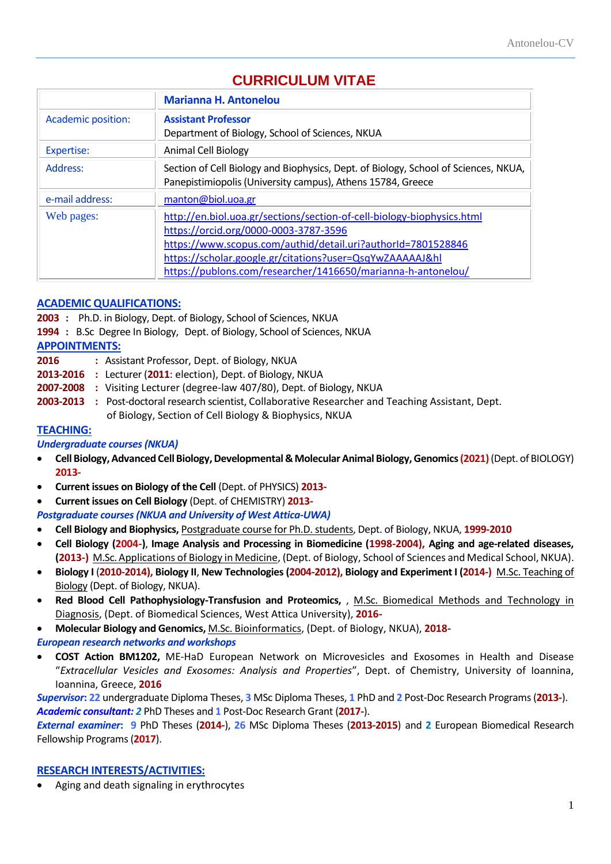# **CURRICULUM VITAE**

|                           | <b>Marianna H. Antonelou</b>                                                                                                                                                                                                                                                                                |
|---------------------------|-------------------------------------------------------------------------------------------------------------------------------------------------------------------------------------------------------------------------------------------------------------------------------------------------------------|
| <b>Academic position:</b> | <b>Assistant Professor</b><br>Department of Biology, School of Sciences, NKUA                                                                                                                                                                                                                               |
| <b>Expertise:</b>         | <b>Animal Cell Biology</b>                                                                                                                                                                                                                                                                                  |
| Address:                  | Section of Cell Biology and Biophysics, Dept. of Biology, School of Sciences, NKUA,<br>Panepistimiopolis (University campus), Athens 15784, Greece                                                                                                                                                          |
| e-mail address:           | manton@biol.uoa.gr                                                                                                                                                                                                                                                                                          |
| Web pages:                | http://en.biol.uoa.gr/sections/section-of-cell-biology-biophysics.html<br>https://orcid.org/0000-0003-3787-3596<br>https://www.scopus.com/authid/detail.uri?authorId=7801528846<br>https://scholar.google.gr/citations?user=QsqYwZAAAAAJ&hl<br>https://publons.com/researcher/1416650/marianna-h-antonelou/ |

# **ACADEMIC QUALIFICATIONS:**

**2003 :** Ph.D. in Biology, Dept. of Biology, School of Sciences, NKUA

**1994 :** B.Sc Degree In Biology, Dept. of Biology, School of Sciences, NKUA

# **APPOINTMENTS:**

- **2016 :** Assistant Professor, Dept. of Biology, NKUA
- **2013-2016 :** Lecturer (**2011**: election), Dept. of Biology, NKUA
- **2007-2008 :** Visiting Lecturer (degree-law 407/80), Dept. of Biology, NKUA
- **2003-2013 :** Post-doctoral research scientist, Collaborative Researcher and Teaching Assistant, Dept. of Biology, Section of Cell Biology & Biophysics, NKUA

# **TEACHING:**

# *Undergraduate courses(NKUA)*

- **Cell Biology, Advanced Cell Biology, Developmental & Molecular Animal Biology, Genomics (2021)**(Dept. of BIOLOGY) **2013-**
- **Current issues on Biology of the Cell** (Dept. of PHYSICS) **2013-**
- **Current issues on Cell Biology** (Dept. of CHEMISTRY) **2013-**

*Postgraduate courses(NKUA and University of West Attica-UWA)*

- **Cell Biology and Biophysics,** Postgraduate course for Ph.D. students, Dept. of Biology, NKUA, **1999-2010**
- **Cell Biology (2004-)**, **Image Analysis and Processing in Biomedicine (1998-2004), Aging and age-related diseases, (2013-)** M.Sc. Applications of Biology in Medicine, (Dept. of Biology, School of Sciences and Medical School, NKUA).
- **Biology I** (**2010-2014), Biology II**, **New Technologies (2004-2012), Biology and Experiment I (2014-)** M.Sc. Teaching of Biology (Dept. of Biology, NKUA).
- **Red Blood Cell Pathophysiology-Transfusion and Proteomics,** , M.Sc. Biomedical Methods and Technology in Diagnosis, (Dept. of Biomedical Sciences, West Attica University), **2016-**
- **Molecular Biology and Genomics,** M.Sc. Bioinformatics, (Dept. of Biology, NKUA), **2018-**
- *European research networks and workshops*
- **COST Action BM1202,** ME-HaD European Network on Microvesicles and Exosomes in Health and Disease "*Extracellular Vesicles and Exosomes: Analysis and Properties*", Dept. of Chemistry, University of Ioannina, Ioannina, Greece, **2016**

*Supervisor***: 22** undergraduate Diploma Theses, **3** MSc Diploma Theses, **1** PhD and **2** Post-Doc Research Programs(**2013-**). *Academic consultant: 2* PhD Theses and **1** Post-Doc Research Grant (**2017-**).

*External examiner***: 9** PhD Theses (**2014-**), **26** MSc Diploma Theses (**2013-2015**) and **2** European Biomedical Research Fellowship Programs (**2017**).

# **RESEARCH INTERESTS/ACTIVITIES:**

• Aging and death signaling in erythrocytes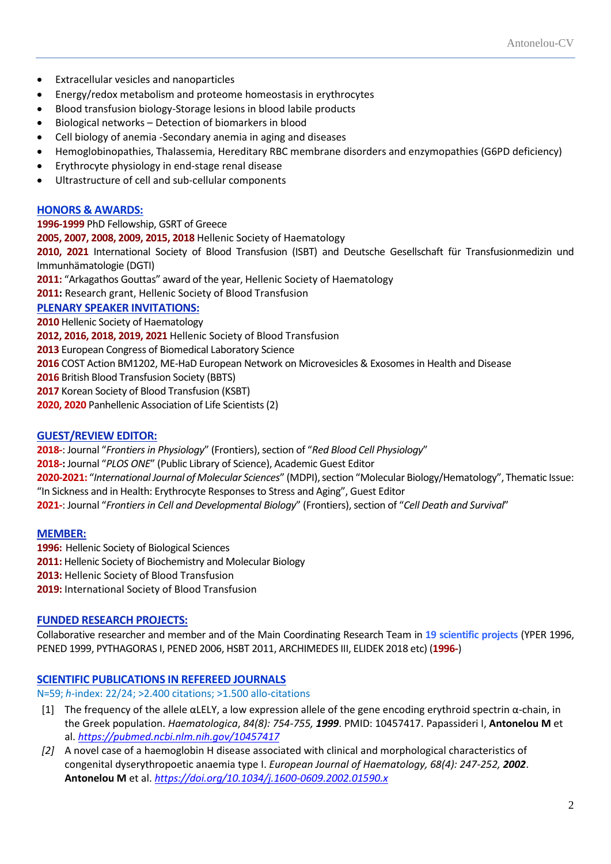- Extracellular vesicles and nanoparticles
- Energy/redox metabolism and proteome homeostasis in erythrocytes
- Blood transfusion biology-Storage lesions in blood labile products
- Biological networks Detection of biomarkers in blood
- Cell biology of anemia -Secondary anemia in aging and diseases
- Hemoglobinopathies, Thalassemia, Hereditary RBC membrane disorders and enzymopathies (G6PD deficiency)
- Erythrocyte physiology in end-stage renal disease
- Ultrastructure of cell and sub-cellular components

### **HONORS & AWARDS:**

**1996-1999** PhD Fellowship, GSRT of Greece **2005, 2007, 2008, 2009, 2015, 2018** Hellenic Society of Haematology **2010, 2021** International Society of Blood Transfusion (ISBT) and Deutsche Gesellschaft für Transfusionmedizin und Immunhämatologie (DGTI) **2011:** "Arkagathos Gouttas" award of the year, Hellenic Society of Haematology **2011:** Research grant, Hellenic Society of Blood Transfusion **PLENARY SPEAKER INVITATIONS: 2010** Hellenic Society of Haematology **2012, 2016, 2018, 2019, 2021** Hellenic Society of Blood Transfusion **2013** European Congress of Biomedical Laboratory Science **2016** COST Action BM1202, ME-HaD European Network on Microvesicles & Exosomes in Health and Disease **2016** Βritish Blood Transfusion Society (BBTS) **2017** Κοrean Society of Blood Transfusion (KSBT)

**2020, 2020** Panhellenic Association of Life Scientists(2)

### **GUEST/REVIEW EDITOR:**

**2018-**: Journal "*Frontiers in Physiology*" (Frontiers), section of "*Red Blood Cell Physiology*"

**2018-:** Journal "*PLOS ONE*" (Public Library of Science), Academic Guest Editor

**2020-2021:** "*International Journal of Molecular Sciences*" (MDPI), section "Molecular Biology/Hematology", Thematic Issue: "In Sickness and in Health: Erythrocyte Responses to Stress and Aging", Guest Editor

**2021-**: Journal "*Frontiers in Cell and Developmental Biology*" (Frontiers), section of "*Cell Death and Survival*"

#### **MEMBER:**

**1996:** Hellenic Society of Biological Sciences

**2011:** Hellenic Society of Biochemistry and Molecular Biology

**2013:** Hellenic Society of Blood Transfusion

**2019:** International Society of Blood Transfusion

# **FUNDED RESEARCH PROJECTS:**

Collaborative researcher and member and of the Main Coordinating Research Team in **19 scientific projects** (YPER 1996, PENED 1999, PYTHAGORAS I, PENED 2006, HSBT 2011, ARCHIMEDES III, ELIDEK 2018 etc) (**1996-**)

# **SCIENTIFIC PUBLICATIONS IN REFEREED JOURNALS**

N=59; *h*-index: 22/24; >2.400 citations; >1.500 allo-citations

- [1] The frequency of the allele αLELY, a low expression allele of the gene encoding erythroid spectrin  $\alpha$ -chain, in the Greek population. *Haematologica*, *84(8): 754-755, 1999*. PMID: 10457417. Papassideri I, **Αntonelou M** et al. *<https://pubmed.ncbi.nlm.nih.gov/10457417>*
- *[2]* A novel case of a haemoglobin H disease associated with clinical and morphological characteristics of congenital dyserythropoetic anaemia type I. *European Journal of Haematology, 68(4): 247-252, 2002*. **Αntonelou M** et al. *<https://doi.org/10.1034/j.1600-0609.2002.01590.x>*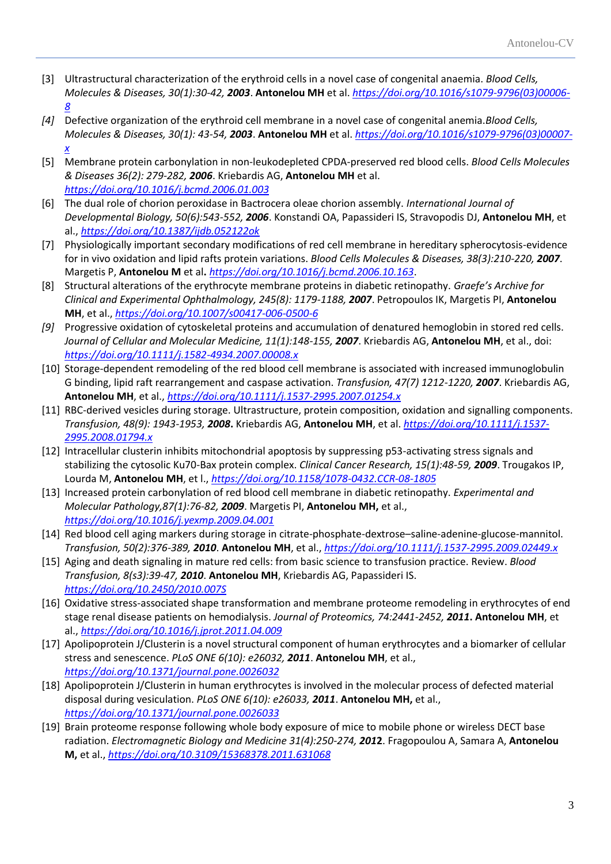- [3] Ultrastructural characterization of the erythroid cells in a novel case of congenital anaemia. *Blood Cells, Molecules & Diseases, 30(1):30-42, 2003*. **Αntonelou MΗ** et al. *[https://doi.org/10.1016/s1079-9796\(03\)00006-](https://doi.org/10.1016/s1079-9796(03)00006-8) [8](https://doi.org/10.1016/s1079-9796(03)00006-8)*
- *[4]* Defective organization of the erythroid cell membrane in a novel case of congenital anemia.*Blood Cells, Molecules & Diseases, 30(1): 43-54, 2003*. **Αntonelou MΗ** et al. *[https://doi.org/10.1016/s1079-9796\(03\)00007](https://doi.org/10.1016/s1079-9796(03)00007-x) [x](https://doi.org/10.1016/s1079-9796(03)00007-x)*
- [5] Membrane protein carbonylation in non-leukodepleted CPDA-preserved red blood cells. *Blood Cells Molecules & Diseases 36(2): 279-282, 2006*. Kriebardis AG, **Antonelou MH** et al. *<https://doi.org/10.1016/j.bcmd.2006.01.003>*
- [6] The dual role of chorion peroxidase in Bactrocera oleae chorion assembly. *International Journal of Developmental Biology, 50(6):543-552, 2006*. Konstandi OA, Papassideri IS, Stravopodis DJ, **Antonelou MΗ**, et al., *<https://doi.org/10.1387/ijdb.052122ok>*
- [7] Physiologically important secondary modifications of red cell membrane in hereditary spherocytosis-evidence for in vivo oxidation and lipid rafts protein variations. *Blood Cells Molecules & Diseases, 38(3):210-220, 2007*. Margetis P, **Antonelou M** et al**.** *<https://doi.org/10.1016/j.bcmd.2006.10.163>*.
- [8] Structural alterations of the erythrocyte membrane proteins in diabetic retinopathy. *Graefe's Archive for Clinical and Experimental Ophthalmology, 245(8): 1179-1188, 2007*. Petropoulos ΙΚ, Margetis PΙ, **Antonelou MΗ**, et al., *<https://doi.org/10.1007/s00417-006-0500-6>*
- *[9]* Progressive oxidation of cytoskeletal proteins and accumulation of denatured hemoglobin in stored red cells. *Journal of Cellular and Molecular Medicine, 11(1):148-155, 2007*. Kriebardis AG, **Antonelou MΗ**, et al., doi: *<https://doi.org/10.1111/j.1582-4934.2007.00008.x>*
- [10] Storage-dependent remodeling of the red blood cell membrane is associated with increased immunoglobulin G binding, lipid raft rearrangement and caspase activation. *Transfusion, 47(7) 1212-1220, 2007*. Kriebardis AG, **Antonelou MΗ**, et al., *<https://doi.org/10.1111/j.1537-2995.2007.01254.x>*
- [11] RBC-derived vesicles during storage. Ultrastructure, protein composition, oxidation and signalling components. *Transfusion, 48(9): 1943-1953, 2008***.** Kriebardis AG, **Antonelou MΗ**, et al. *[https://doi.org/10.1111/j.1537-](https://doi.org/10.1111/j.1537-2995.2008.01794.x) [2995.2008.01794.x](https://doi.org/10.1111/j.1537-2995.2008.01794.x)*
- [12] Intracellular clusterin inhibits mitochondrial apoptosis by suppressing p53-activating stress signals and stabilizing the cytosolic Ku70-Bax protein complex. *Clinical Cancer Research, 15(1):48-59, 2009*. Trougakos IP, Lourda M, **Antonelou MΗ**, et l., *<https://doi.org/10.1158/1078-0432.CCR-08-1805>*
- [13] Increased protein carbonylation of red blood cell membrane in diabetic retinopathy. *Experimental and Molecular Pathology,87(1):76-82, 2009*. Margetis PI, **Antonelou MH,** et al., *<https://doi.org/10.1016/j.yexmp.2009.04.001>*
- [14] Red blood cell aging markers during storage in citrate-phosphate-dextrose–saline-adenine-glucose-mannitol. *Transfusion, 50(2):376-389, 2010*. **Antonelou MH**, et al., *<https://doi.org/10.1111/j.1537-2995.2009.02449.x>*
- [15] Aging and death signaling in mature red cells: from basic science to transfusion practice. Review. *Blood Transfusion, 8(s3):39-47, 2010*. **Antonelou MH**, Kriebardis AG, Papassideri IS. *<https://doi.org/10.2450/2010.007S>*
- [16] Oxidative stress-associated shape transformation and membrane proteome remodeling in erythrocytes of end stage renal disease patients on hemodialysis. *Journal of Proteomics, 74:2441-2452, 2011***. Antonelou MH**, et al., *<https://doi.org/10.1016/j.jprot.2011.04.009>*
- [17] Apolipoprotein J/Clusterin is a novel structural component of human erythrocytes and a biomarker of cellular stress and senescence. *PLoS ONE 6(10): e26032, 2011*. **Antonelou MH**, et al., *<https://doi.org/10.1371/journal.pone.0026032>*
- [18] Apolipoprotein J/Clusterin in human erythrocytes is involved in the molecular process of defected material disposal during vesiculation. *PLoS ONE 6(10): e26033, 2011*. **Antonelou MH,** et al., *<https://doi.org/10.1371/journal.pone.0026033>*
- [19] Brain proteome response following whole body exposure of mice to mobile phone or wireless DECT base radiation. *Electromagnetic Biology and Medicine 31(4):250-274, 201***2**. Fragopoulou A, Samara A, **Antonelou M,** et al., *<https://doi.org/10.3109/15368378.2011.631068>*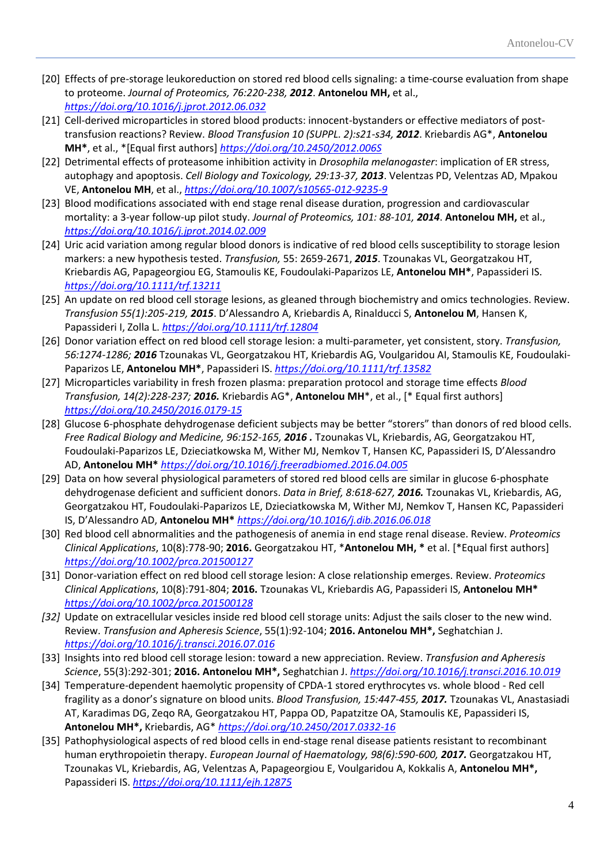- [20] Effects of pre-storage leukoreduction on stored red blood cells signaling: a time-course evaluation from shape to proteome. *Journal of Proteomics, 76:220-238, 2012*. **Antonelou ΜΗ,** et al., *<https://doi.org/10.1016/j.jprot.2012.06.032>*
- [21] Cell-derived microparticles in stored blood products: innocent-bystanders or effective mediators of posttransfusion reactions? Review. *Blood Transfusion 10 (SUPPL. 2):s21-s34, 2012*. Kriebardis AG\*, **Antonelou MH\***, et al., \*[Equal first authors] *<https://doi.org/10.2450/2012.006S>*
- [22] Detrimental effects of proteasome inhibition activity in *Drosophila melanogaster*: implication of ER stress, autophagy and apoptosis. *Cell Biology and Toxicology, 29:13-37, 2013*. Velentzas PD, Velentzas AD, Mpakou VE, **Antonelou MH**, et al., *<https://doi.org/10.1007/s10565-012-9235-9>*
- [23] Blood modifications associated with end stage renal disease duration, progression and cardiovascular mortality: a 3-year follow-up pilot study. *Journal of Proteomics, 101: 88-101, 2014*. **Antonelou MH,** et al., *<https://doi.org/10.1016/j.jprot.2014.02.009>*
- [24] Uric acid variation among regular blood donors is indicative of red blood cells susceptibility to storage lesion markers: a new hypothesis tested. *Transfusion,* 55: 2659-2671, *2015*. Tzounakas VL, Georgatzakou HT, Kriebardis AG, Papageorgiou EG, Stamoulis KE, Foudoulaki-Paparizos LE, **Antonelou ΜΗ\***, Papassideri IS. *<https://doi.org/10.1111/trf.13211>*
- [25] An update on red blood cell storage lesions, as gleaned through biochemistry and omics technologies. Review. *Transfusion 55(1):205-219, 2015*. D'Alessandro A, Kriebardis A, Rinalducci S, **Antonelou M**, Hansen K, Papassideri I, Zolla L. *<https://doi.org/10.1111/trf.12804>*
- [26] Donor variation effect on red blood cell storage lesion: a multi-parameter, yet consistent, story. *Transfusion, 56:1274-1286; 2016* Tzounakas VL, Georgatzakou HT, Kriebardis AG, Voulgaridou AI, Stamoulis KE, Foudoulaki-Paparizos LE, **Antonelou MH\***, Papassideri IS. *<https://doi.org/10.1111/trf.13582>*
- [27] Microparticles variability in fresh frozen plasma: preparation protocol and storage time effects *Blood Transfusion, 14(2):228-237; 2016.* Kriebardis AG\*, **Antonelou MH**\*, et al., [\* Equal first authors] *<https://doi.org/10.2450/2016.0179-15>*
- [28] Glucose 6-phosphate dehydrogenase deficient subjects may be better "storers" than donors of red blood cells. *Free Radical Biology and Medicine, 96:152-165, 2016 .* Tzounakas VL, Kriebardis, AG, Georgatzakou HT, Foudoulaki-Paparizos LE, Dzieciatkowska M, Wither MJ, Nemkov T, Hansen KC, Papassideri IS, D'Alessandro AD, **Antonelou MH\*** *<https://doi.org/10.1016/j.freeradbiomed.2016.04.005>*
- [29] Data on how several physiological parameters of stored red blood cells are similar in glucose 6-phosphate dehydrogenase deficient and sufficient donors. *Data in Brief, 8:618-627, 2016.* Tzounakas VL, Kriebardis, AG, Georgatzakou HT, Foudoulaki-Paparizos LE, Dzieciatkowska M, Wither MJ, Nemkov T, Hansen KC, Papassideri IS, D'Alessandro AD, **Antonelou MH\*** *<https://doi.org/10.1016/j.dib.2016.06.018>*
- [30] Red blood cell abnormalities and the pathogenesis of anemia in end stage renal disease. Review. *Proteomics Clinical Applications*, 10(8):778-90; **2016.** Georgatzakou HT, \***Antonelou MH, \*** et al. [\*Equal first authors] *<https://doi.org/10.1002/prca.201500127>*
- [31] Donor-variation effect on red blood cell storage lesion: A close relationship emerges. Review. *Proteomics Clinical Applications*, 10(8):791-804; **2016.** Tzounakas VL, Kriebardis AG, Papassideri IS, **Antonelou MH\***  *<https://doi.org/10.1002/prca.201500128>*
- *[32]* Update on extracellular vesicles inside red blood cell storage units: Adjust the sails closer to the new wind. Review. *Transfusion and Apheresis Science*, 55(1):92-104; **2016. Antonelou MH\*,** Seghatchian J. *<https://doi.org/10.1016/j.transci.2016.07.016>*
- [33] Insights into red blood cell storage lesion: toward a new appreciation. Review. *Transfusion and Apheresis Science*, 55(3):292-301; **2016. Antonelou MH\*,** Seghatchian J. *<https://doi.org/10.1016/j.transci.2016.10.019>*
- [34] Temperature-dependent haemolytic propensity of CPDA-1 stored erythrocytes vs. whole blood Red cell fragility as a donor's signature on blood units. *Blood Transfusion, 15:447-455, 2017.* Tzounakas VL, Anastasiadi AT, Karadimas DG, Zeqo RA, Georgatzakou HT, Pappa OD, Papatzitze OA, Stamoulis KE, Papassideri IS, **Antonelou MH\*,** Kriebardis, AG\* *<https://doi.org/10.2450/2017.0332-16>*
- [35] Pathophysiological aspects of red blood cells in end-stage renal disease patients resistant to recombinant human erythropoietin therapy. *European Journal of Haematology, 98(6):590-600, 2017.* Georgatzakou HT, Tzounakas VL, Kriebardis, AG, Velentzas A, Papageorgiou E, Voulgaridou A, Kokkalis A, **Antonelou MH\*,**  Papassideri IS. *<https://doi.org/10.1111/ejh.12875>*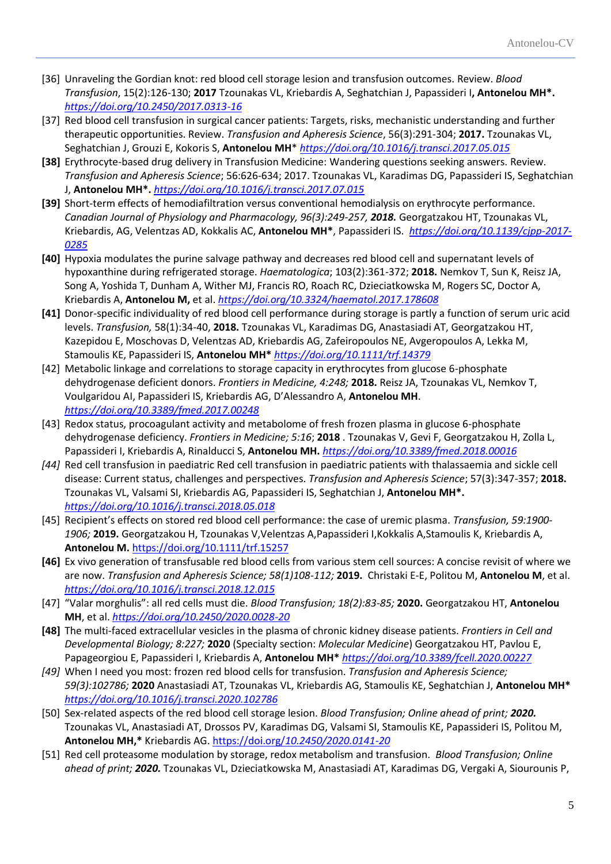- [36] Unraveling the Gordian knot: red blood cell storage lesion and transfusion outcomes. Review. *Blood Transfusion*, 15(2):126-130; **2017** Tzounakas VL, Kriebardis A, Seghatchian J, Papassideri I**, Antonelou MH\*.**  *<https://doi.org/10.2450/2017.0313-16>*
- [37] Red blood cell transfusion in surgical cancer patients: Targets, risks, mechanistic understanding and further therapeutic opportunities. Review. *Transfusion and Apheresis Science*, 56(3):291-304; **2017.** Tzounakas VL, Seghatchian J, Grouzi E, Kokoris S, **Antonelou MH**\* *<https://doi.org/10.1016/j.transci.2017.05.015>*
- **[38]** Erythrocyte-based drug delivery in Transfusion Medicine: Wandering questions seeking answers. Review. *Transfusion and Apheresis Science*; 56:626-634; 2017. Tzounakas VL, Karadimas DG, Papassideri IS, Seghatchian J, **Antonelou MH\*.** *<https://doi.org/10.1016/j.transci.2017.07.015>*
- **[39]** Short-term effects of hemodiafiltration versus conventional hemodialysis on erythrocyte performance. *Canadian Journal of Physiology and Pharmacology, 96(3):249-257, 2018.* Georgatzakou HT, Tzounakas VL, Kriebardis, AG, Velentzas AD, Kokkalis AC, **Antonelou MH\***, Papassideri IS. *[https://doi.org/10.1139/cjpp-2017-](https://doi.org/10.1139/cjpp-2017-0285) [0285](https://doi.org/10.1139/cjpp-2017-0285)*
- **[40]** Hypoxia modulates the purine salvage pathway and decreases red blood cell and supernatant levels of hypoxanthine during refrigerated storage. *Haematologica*; 103(2):361-372; **2018.** Nemkov T, Sun K, Reisz JA, Song A, Yoshida T, Dunham A, Wither MJ, Francis RO, Roach RC, Dzieciatkowska M, Rogers SC, Doctor A, Kriebardis A, **Antonelou M,** et al. *<https://doi.org/10.3324/haematol.2017.178608>*
- **[41]** Donor-specific individuality of red blood cell performance during storage is partly a function of serum uric acid levels. *Transfusion,* 58(1):34-40, **2018.** Tzounakas VL, Karadimas DG, Anastasiadi AT, Georgatzakou HT, Kazepidou E, Moschovas D, Velentzas AD, Kriebardis AG, Zafeiropoulos NE, Avgeropoulos A, Lekka M, Stamoulis KE, Papassideri IS, **Antonelou MH\*** *<https://doi.org/10.1111/trf.14379>*
- [42] Metabolic linkage and correlations to storage capacity in erythrocytes from glucose 6-phosphate dehydrogenase deficient donors. *Frontiers in Medicine, 4:248;* **2018.** Reisz JA, Tzounakas VL, Nemkov T, Voulgaridou AI, Papassideri IS, Kriebardis AG, D'Alessandro A, **Antonelou MH**. *<https://doi.org/10.3389/fmed.2017.00248>*
- [43] Redox status, procoagulant activity and metabolome of fresh frozen plasma in glucose 6-phosphate dehydrogenase deficiency. *Frontiers in Medicine; 5:16*; **2018** . Tzounakas V, Gevi F, Georgatzakou H, Zolla L, Papassideri I, Kriebardis A, Rinalducci S, **Antonelou MH.** *<https://doi.org/10.3389/fmed.2018.00016>*
- *[44]* Red cell transfusion in paediatric Red cell transfusion in paediatric patients with thalassaemia and sickle cell disease: Current status, challenges and perspectives. *Transfusion and Apheresis Science*; 57(3):347-357; **2018.**  Tzounakas VL, Valsami SI, Kriebardis AG, Papassideri IS, Seghatchian J, **Antonelou MH\*.** *<https://doi.org/10.1016/j.transci.2018.05.018>*
- [45] Recipient's effects on stored red blood cell performance: the case of uremic plasma. *Transfusion, 59:1900- 1906;* **2019.** Georgatzakou H, Tzounakas V,Velentzas A,Papassideri I,Kokkalis A,Stamoulis K, Kriebardis A, **Antonelou M.** <https://doi.org/10.1111/trf.15257>
- **[46]** Ex vivo generation of transfusable red blood cells from various stem cell sources: A concise revisit of where we are now. *Transfusion and Apheresis Science; 58(1)108-112;* **2019.** Christaki E-E, Politou M, **Antonelou M**, et al. *<https://doi.org/10.1016/j.transci.2018.12.015>*
- [47] "Valar morghulis": all red cells must die. *Blood Transfusion; 18(2):83-85;* **2020.** Georgatzakou HT, **Antonelou MH**, et al. *<https://doi.org/10.2450/2020.0028-20>*
- **[48]** The multi-faced extracellular vesicles in the plasma of chronic kidney disease patients. *Frontiers in Cell and Developmental Biology; 8:227;* **2020** (Specialty section: *Molecular Medicine*) Georgatzakou HT, Pavlou E, Papageorgiou E, Papassideri I, Kriebardis A, **Antonelou MH\*** *<https://doi.org/10.3389/fcell.2020.00227>*
- *[49]* When I need you most: frozen red blood cells for transfusion. *Transfusion and Apheresis Science; 59(3):102786;* **2020** Anastasiadi AT, Tzounakas VL, Kriebardis AG, Stamoulis KE, Seghatchian J, **Antonelou MH\***  *<https://doi.org/10.1016/j.transci.2020.102786>*
- [50] Sex-related aspects of the red blood cell storage lesion. *Blood Transfusion; Online ahead of print; 2020.*  Tzounakas VL, Anastasiadi AT, Drossos PV, Karadimas DG, Valsami SI, Stamoulis KE, Papassideri IS, Politou M, **Antonelou MH,\*** Kriebardis AG. https://doi.org/*[10.2450/2020.0141-20](https://doi.org/10.2450/2020.0141-20)*
- [51] Red cell proteasome modulation by storage, redox metabolism and transfusion.*Blood Transfusion; Online ahead of print; 2020.* Tzounakas VL, Dzieciatkowska M, Anastasiadi AT, Karadimas DG, Vergaki A, Siourounis P,